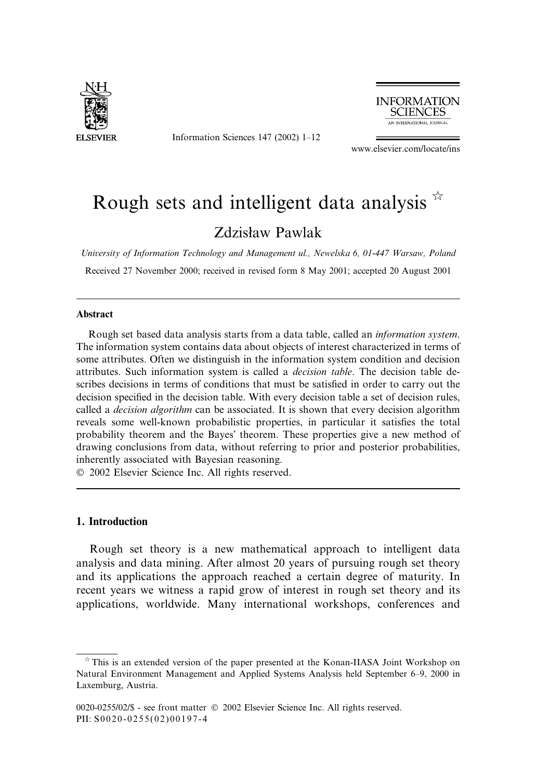

Information Sciences 147 (2002) 1–12



www.elsevier.com/locate/ins

# Rough sets and intelligent data analysis  $\overrightarrow{r}$

# Zdzisław Pawlak

University of Information Technology and Management ul., Newelska 6, 01-447 Warsaw, Poland

Received 27 November 2000; received in revised form 8May 2001; accepted 20 August 2001

#### Abstract

Rough set based data analysis starts from a data table, called an information system. The information system contains data about objects of interest characterized in terms of some attributes. Often we distinguish in the information system condition and decision attributes. Such information system is called a decision table. The decision table describes decisions in terms of conditions that must be satisfied in order to carry out the decision specified in the decision table. With every decision table a set of decision rules, called a decision algorithm can be associated. It is shown that every decision algorithm reveals some well-known probabilistic properties, in particular it satisfies the total probability theorem and the Bayes theorem. These properties give a new method of drawing conclusions from data, without referring to prior and posterior probabilities, inherently associated with Bayesian reasoning.

2002 Elsevier Science Inc. All rights reserved.

# 1. Introduction

Rough set theory is a new mathematical approach to intelligent data analysis and data mining. After almost 20 years of pursuing rough set theory and its applications the approach reached a certain degree of maturity. In recent years we witness a rapid grow of interest in rough set theory and its applications, worldwide. Many international workshops, conferences and

 $\hat{\tau}$  This is an extended version of the paper presented at the Konan-IIASA Joint Workshop on Natural Environment Management and Applied Systems Analysis held September 6–9, 2000 in Laxemburg, Austria.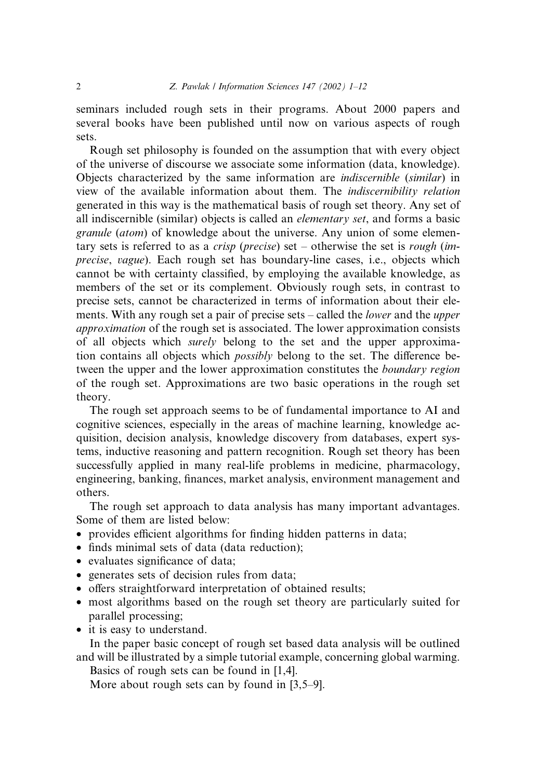seminars included rough sets in their programs. About 2000 papers and several books have been published until now on various aspects of rough sets.

Rough set philosophy is founded on the assumption that with every object of the universe of discourse we associate some information (data, knowledge). Objects characterized by the same information are indiscernible (similar) in view of the available information about them. The indiscernibility relation generated in this way is the mathematical basis of rough set theory. Any set of all indiscernible (similar) objects is called an elementary set, and forms a basic granule (atom) of knowledge about the universe. Any union of some elementary sets is referred to as a *crisp* (*precise*) set – otherwise the set is *rough* (*im*precise, vague). Each rough set has boundary-line cases, i.e., objects which cannot be with certainty classified, by employing the available knowledge, as members of the set or its complement. Obviously rough sets, in contrast to precise sets, cannot be characterized in terms of information about their elements. With any rough set a pair of precise sets – called the *lower* and the *upper* approximation of the rough set is associated. The lower approximation consists of all objects which surely belong to the set and the upper approximation contains all objects which possibly belong to the set. The difference between the upper and the lower approximation constitutes the boundary region of the rough set. Approximations are two basic operations in the rough set theory.

The rough set approach seems to be of fundamental importance to AI and cognitive sciences, especially in the areas of machine learning, knowledge acquisition, decision analysis, knowledge discovery from databases, expert systems, inductive reasoning and pattern recognition. Rough set theory has been successfully applied in many real-life problems in medicine, pharmacology, engineering, banking, finances, market analysis, environment management and others.

The rough set approach to data analysis has many important advantages. Some of them are listed below:

- provides efficient algorithms for finding hidden patterns in data;
- finds minimal sets of data (data reduction);
- evaluates significance of data;
- generates sets of decision rules from data;
- offers straightforward interpretation of obtained results;
- most algorithms based on the rough set theory are particularly suited for parallel processing;
- it is easy to understand.

In the paper basic concept of rough set based data analysis will be outlined and will be illustrated by a simple tutorial example, concerning global warming.

Basics of rough sets can be found in [1,4].

More about rough sets can by found in [3,5–9].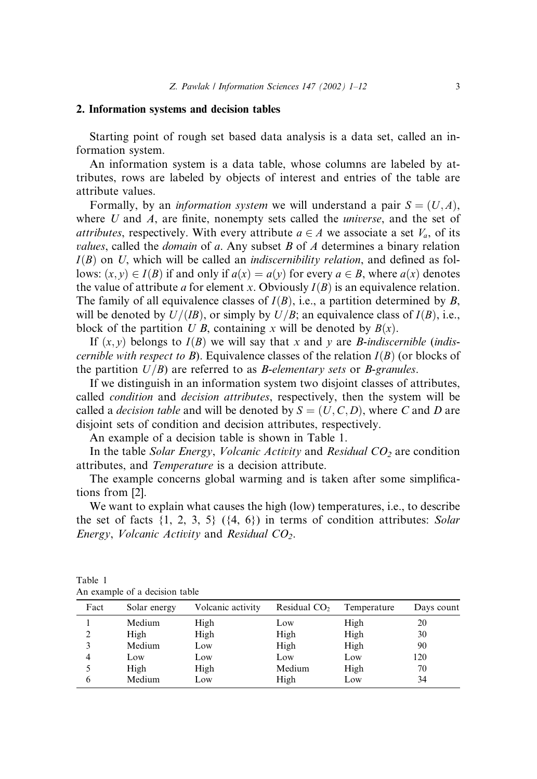#### 2. Information systems and decision tables

Starting point of rough set based data analysis is a data set, called an information system.

An information system is a data table, whose columns are labeled by attributes, rows are labeled by objects of interest and entries of the table are attribute values.

Formally, by an *information system* we will understand a pair  $S = (U, A)$ , where  $U$  and  $A$ , are finite, nonempty sets called the *universe*, and the set of attributes, respectively. With every attribute  $a \in A$  we associate a set  $V_a$ , of its values, called the *domain* of  $a$ . Any subset  $B$  of  $A$  determines a binary relation  $I(B)$  on U, which will be called an *indiscernibility relation*, and defined as follows:  $(x, y) \in I(B)$  if and only if  $a(x) = a(y)$  for every  $a \in B$ , where  $a(x)$  denotes the value of attribute a for element x. Obviously  $I(B)$  is an equivalence relation. The family of all equivalence classes of  $I(B)$ , i.e., a partition determined by B, will be denoted by  $U/(IB)$ , or simply by  $U/B$ ; an equivalence class of  $I(B)$ , i.e., block of the partition U B, containing x will be denoted by  $B(x)$ .

If  $(x, y)$  belongs to  $I(B)$  we will say that x and y are *B-indiscernible (indis*cernible with respect to B). Equivalence classes of the relation  $I(B)$  (or blocks of the partition  $U/B$ ) are referred to as *B*-elementary sets or *B*-granules.

If we distinguish in an information system two disjoint classes of attributes, called condition and decision attributes, respectively, then the system will be called a *decision table* and will be denoted by  $S = (U, C, D)$ , where C and D are disjoint sets of condition and decision attributes, respectively.

An example of a decision table is shown in Table 1.

In the table Solar Energy, Volcanic Activity and Residual  $CO<sub>2</sub>$  are condition attributes, and Temperature is a decision attribute.

The example concerns global warming and is taken after some simplifications from [2].

We want to explain what causes the high (low) temperatures, i.e., to describe the set of facts  $\{1, 2, 3, 5\}$   $(\{4, 6\})$  in terms of condition attributes: Solar Energy, Volcanic Activity and Residual  $CO<sub>2</sub>$ .

| Fact | Solar energy | Volcanic activity | Residual $CO2$ | Temperature | Days count |
|------|--------------|-------------------|----------------|-------------|------------|
|      | Medium       | High              | Low            | High        | 20         |
| C    | High         | High              | High           | High        | 30         |
|      | Medium       | Low               | High           | High        | 90         |
| 4    | Low          | Low               | Low            | Low         | 120        |
|      | High         | High              | Medium         | High        | 70         |
| 6    | Medium       | Low               | High           | Low         | 34         |

Table 1 An example of a decision table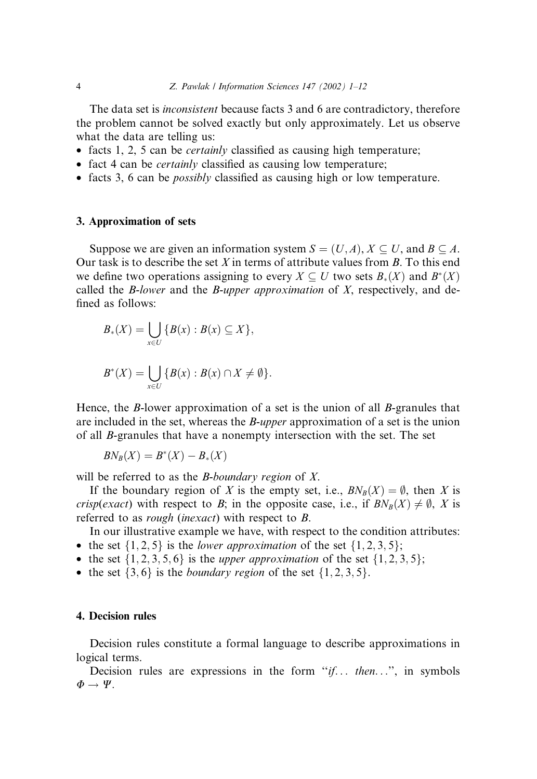The data set is *inconsistent* because facts 3 and 6 are contradictory, therefore the problem cannot be solved exactly but only approximately. Let us observe what the data are telling us:

- facts 1, 2, 5 can be *certainly* classified as causing high temperature;
- fact 4 can be *certainly* classified as causing low temperature;
- facts 3, 6 can be *possibly* classified as causing high or low temperature.

# 3. Approximation of sets

Suppose we are given an information system  $S = (U, A), X \subseteq U$ , and  $B \subseteq A$ . Our task is to describe the set  $X$  in terms of attribute values from  $B$ . To this end we define two operations assigning to every  $X \subseteq U$  two sets  $B_*(X)$  and  $B^*(X)$ called the *B*-lower and the *B*-upper approximation of  $X$ , respectively, and defined as follows:

$$
B_*(X) = \bigcup_{x \in U} \{B(x) : B(x) \subseteq X\},
$$
  

$$
B^*(X) = \bigcup_{x \in U} \{B(x) : B(x) \cap X \neq \emptyset\}.
$$

Hence, the B-lower approximation of a set is the union of all B-granules that are included in the set, whereas the B-upper approximation of a set is the union of all B-granules that have a nonempty intersection with the set. The set

$$
BN_B(X)=B^*(X)-B_*(X)
$$

will be referred to as the *B-boundary region* of *X*.

If the boundary region of X is the empty set, i.e.,  $BN_B(X) = \emptyset$ , then X is crisp(exact) with respect to B; in the opposite case, i.e., if  $BN_B(X) \neq \emptyset$ , X is referred to as *rough* (*inexact*) with respect to *B*.

In our illustrative example we have, with respect to the condition attributes:

- the set  $\{1, 2, 5\}$  is the *lower approximation* of the set  $\{1, 2, 3, 5\}$ ;
- the set  $\{1, 2, 3, 5, 6\}$  is the *upper approximation* of the set  $\{1, 2, 3, 5\}$ ;
- the set  $\{3, 6\}$  is the *boundary region* of the set  $\{1, 2, 3, 5\}$ .

# 4. Decision rules

Decision rules constitute a formal language to describe approximations in logical terms.

Decision rules are expressions in the form " $if...$  then...", in symbols  $\Phi \rightarrow \Psi$ .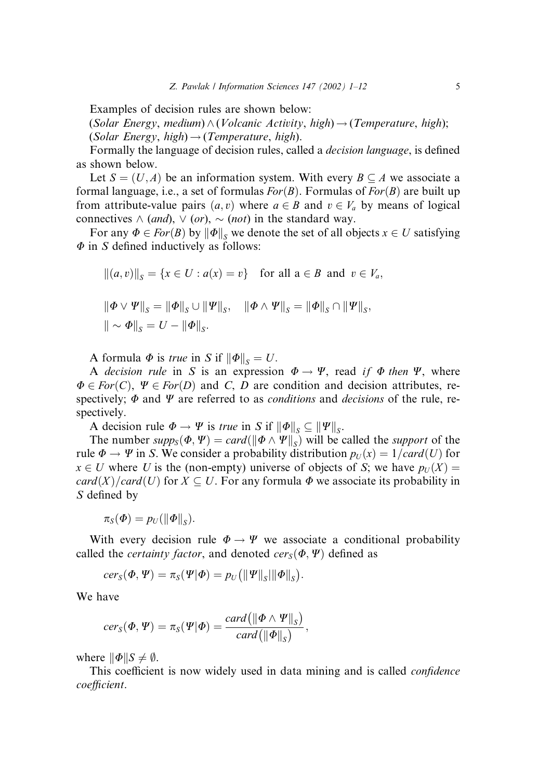Examples of decision rules are shown below:

(Solar Energy, medium)  $\wedge$  (Volcanic Activity, high)  $\rightarrow$  (Temperature, high); (Solar Energy, high)  $\rightarrow$  (Temperature, high).

Formally the language of decision rules, called a decision language, is defined as shown below.

Let  $S = (U, A)$  be an information system. With every  $B \subseteq A$  we associate a formal language, i.e., a set of formulas  $For(B)$ . Formulas of  $For(B)$  are built up from attribute-value pairs  $(a, v)$  where  $a \in B$  and  $v \in V_a$  by means of logical connectives  $\wedge$  (*and*),  $\vee$  (*or*),  $\sim$  (*not*) in the standard way.

For any  $\Phi \in For(B)$  by  $\|\Phi\|_{S}$  we denote the set of all objects  $x \in U$  satisfying  $\Phi$  in S defined inductively as follows:

$$
||(a, v)||_S = \{x \in U : a(x) = v\} \text{ for all } a \in B \text{ and } v \in V_a,
$$
  

$$
||\Phi \vee \Psi||_S = ||\Phi||_S \cup ||\Psi||_S, ||\Phi \wedge \Psi||_S = ||\Phi||_S \cap ||\Psi||_S,
$$
  

$$
|| \sim \Phi||_S = U - ||\Phi||_S.
$$

A formula  $\Phi$  is true in S if  $\|\Phi\|_{S} = U$ .

A decision rule in S is an expression  $\Phi \to \Psi$ , read if  $\Phi$  then  $\Psi$ , where  $\Phi \in For(C), \Psi \in For(D)$  and C, D are condition and decision attributes, respectively;  $\Phi$  and  $\Psi$  are referred to as *conditions* and *decisions* of the rule, respectively.

A decision rule  $\Phi \to \Psi$  is true in S if  $\|\Phi\|_{\mathcal{S}} \subseteq \|\Psi\|_{\mathcal{S}}$ .

The number  $supp_S(\Phi, \Psi) = card(||\Phi \wedge \Psi||_S)$  will be called the *support* of the rule  $\Phi \to \Psi$  in S. We consider a probability distribution  $p_U(x) = 1/card(U)$  for  $x \in U$  where U is the (non-empty) universe of objects of S; we have  $p_U(X) =$ card $(X)/card(U)$  for  $X \subseteq U$ . For any formula  $\Phi$  we associate its probability in S defined by

$$
\pi_S(\Phi)=p_U(\|\Phi\|_S).
$$

With every decision rule  $\Phi \to \Psi$  we associate a conditional probability called the *certainty factor*, and denoted  $c_{\text{crs}}(\Phi, \Psi)$  defined as

$$
cer_S(\Phi, \Psi) = \pi_S(\Psi|\Phi) = p_U(||\Psi||_S||\Psi||_S).
$$

We have

$$
cer_S(\Phi, \Psi) = \pi_S(\Psi|\Phi) = \frac{card(||\Phi \wedge \Psi||_S)}{card(||\Phi||_S)},
$$

where  $\|\Phi\|S \neq \emptyset$ .

This coefficient is now widely used in data mining and is called confidence coefficient.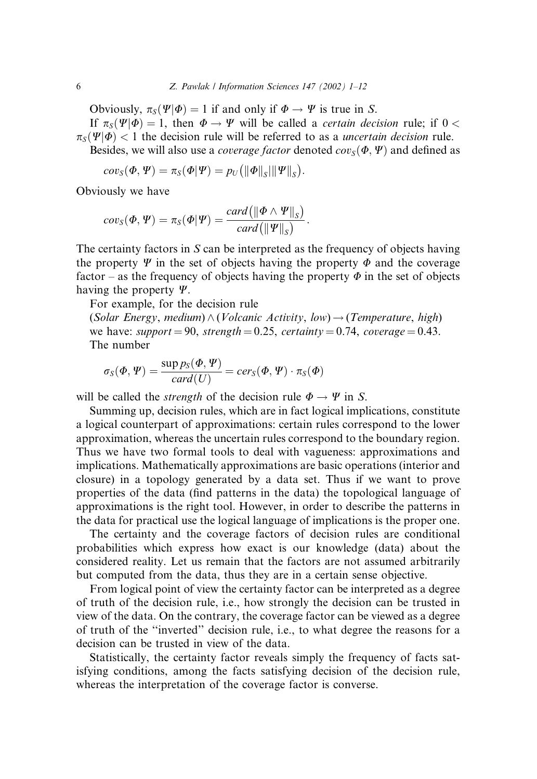Obviously,  $\pi_S(\Psi|\Phi) = 1$  if and only if  $\Phi \to \Psi$  is true in S.

If  $\pi_S(\Psi|\Phi) = 1$ , then  $\Phi \to \Psi$  will be called a *certain decision* rule; if  $0 <$  $\pi_S(\Psi|\Phi)$  < 1 the decision rule will be referred to as a *uncertain decision* rule.

Besides, we will also use a *coverage factor* denoted  $cov_s(\Phi, \Psi)$  and defined as

$$
covS(\boldsymbol{\Phi}, \boldsymbol{\Psi}) = \piS(\boldsymbol{\Phi}|\boldsymbol{\Psi}) = pU(||\boldsymbol{\Phi}||S||||\boldsymbol{\Psi}||S).
$$

Obviously we have

$$
cov_{S}(\Phi, \Psi) = \pi_{S}(\Phi | \Psi) = \frac{card(|| \Phi \wedge \Psi ||_{S})}{card(|| \Psi ||_{S})}.
$$

The certainty factors in S can be interpreted as the frequency of objects having the property  $\Psi$  in the set of objects having the property  $\Phi$  and the coverage factor – as the frequency of objects having the property  $\Phi$  in the set of objects having the property  $\Psi$ .

For example, for the decision rule

(Solar Energy, medium)  $\wedge$  (Volcanic Activity, low)  $\rightarrow$  (Temperature, high) we have: support = 90, strength = 0.25, certainty = 0.74, coverage = 0.43. The number

$$
\sigma_S(\Phi, \Psi) = \frac{\sup p_S(\Phi, \Psi)}{card(U)} = cer_S(\Phi, \Psi) \cdot \pi_S(\Phi)
$$

will be called the *strength* of the decision rule  $\Phi \rightarrow \Psi$  in S.

Summing up, decision rules, which are in fact logical implications, constitute a logical counterpart of approximations: certain rules correspond to the lower approximation, whereas the uncertain rules correspond to the boundary region. Thus we have two formal tools to deal with vagueness: approximations and implications. Mathematically approximations are basic operations (interior and closure) in a topology generated by a data set. Thus if we want to prove properties of the data (find patterns in the data) the topological language of approximations is the right tool. However, in order to describe the patterns in the data for practical use the logical language of implications is the proper one.

The certainty and the coverage factors of decision rules are conditional probabilities which express how exact is our knowledge (data) about the considered reality. Let us remain that the factors are not assumed arbitrarily but computed from the data, thus they are in a certain sense objective.

From logical point of view the certainty factor can be interpreted as a degree of truth of the decision rule, i.e., how strongly the decision can be trusted in view of the data. On the contrary, the coverage factor can be viewed as a degree of truth of the ''inverted'' decision rule, i.e., to what degree the reasons for a decision can be trusted in view of the data.

Statistically, the certainty factor reveals simply the frequency of facts satisfying conditions, among the facts satisfying decision of the decision rule, whereas the interpretation of the coverage factor is converse.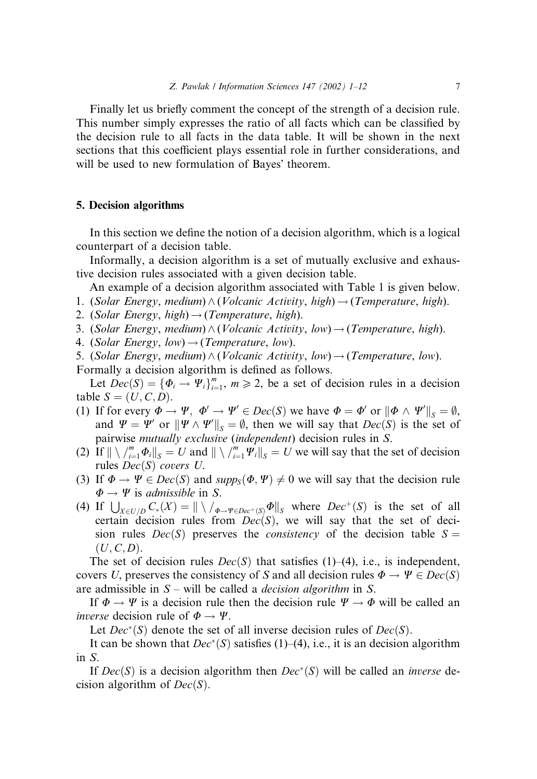Finally let us briefly comment the concept of the strength of a decision rule. This number simply expresses the ratio of all facts which can be classified by the decision rule to all facts in the data table. It will be shown in the next sections that this coefficient plays essential role in further considerations, and will be used to new formulation of Bayes' theorem.

#### 5. Decision algorithms

In this section we define the notion of a decision algorithm, which is a logical counterpart of a decision table.

Informally, a decision algorithm is a set of mutually exclusive and exhaustive decision rules associated with a given decision table.

An example of a decision algorithm associated with Table 1 is given below.

- 1. (Solar Energy, medium)  $\wedge$  (Volcanic Activity, high)  $\rightarrow$  (Temperature, high).
- 2. (Solar Energy, high)  $\rightarrow$  (Temperature, high).
- 3. (Solar Energy, medium)  $\wedge$  (Volcanic Activity, low)  $\rightarrow$  (Temperature, high).
- 4. (Solar Energy, low)  $\rightarrow$  (Temperature, low).
- 5. (Solar Energy, medium)  $\wedge$  (Volcanic Activity, low)  $\rightarrow$  (Temperature, low).

Formally a decision algorithm is defined as follows.

Let  $Dec(S) = {\varphi_i \rightarrow \Psi_i}_{i=1}^m$ ,  $m \ge 2$ , be a set of decision rules in a decision table  $S = (U, C, D)$ .

- (1) If for every  $\Phi \to \Psi$ ,  $\Phi' \to \Psi' \in Dec(S)$  we have  $\Phi = \Phi'$  or  $\|\Phi \wedge \Psi'\|_{S} = \emptyset$ , and  $\Psi = \Psi'$  or  $\|\Psi \wedge \Psi'\|_{S} = \emptyset$ , then we will say that  $Dec(S)$  is the set of pairwise mutually exclusive (independent) decision rules in S.
- (2) If  $\|\setminus\|_{i=1}^m \Phi_i\|_{S} = U$  and  $\|\setminus\|_{i=1}^m \Psi_i\|_{S} = U$  we will say that the set of decision rules  $Dec(S)$  covers U.
- (3) If  $\Phi \to \Psi \in Dec(S)$  and  $supp_S(\Phi, \Psi) \neq 0$  we will say that the decision rule  $\Phi \rightarrow \Psi$  is *admissible* in S.
- (4) If  $\bigcup_{X \in U/D} C_*(X) = || \setminus \big/_{\phi \to \Psi \in Dec^+(S)} \Phi ||_S$  where  $Dec^+(S)$  is the set of all certain decision rules from  $Dec(S)$ , we will say that the set of decision rules  $Dec(S)$  preserves the *consistency* of the decision table  $S =$  $(U, C, D)$ .

The set of decision rules  $Dec(S)$  that satisfies (1)–(4), i.e., is independent, covers U, preserves the consistency of S and all decision rules  $\Phi \to \Psi \in Dec(S)$ are admissible in  $S$  – will be called a *decision algorithm* in S.

If  $\Phi \to \Psi$  is a decision rule then the decision rule  $\Psi \to \Phi$  will be called an *inverse* decision rule of  $\Phi \rightarrow \Psi$ .

Let  $Dec^*(S)$  denote the set of all inverse decision rules of  $Dec(S)$ .

It can be shown that  $Dec^*(S)$  satisfies (1)–(4), i.e., it is an decision algorithm in S.

If  $Dec(S)$  is a decision algorithm then  $Dec^*(S)$  will be called an *inverse* decision algorithm of  $Dec(S)$ .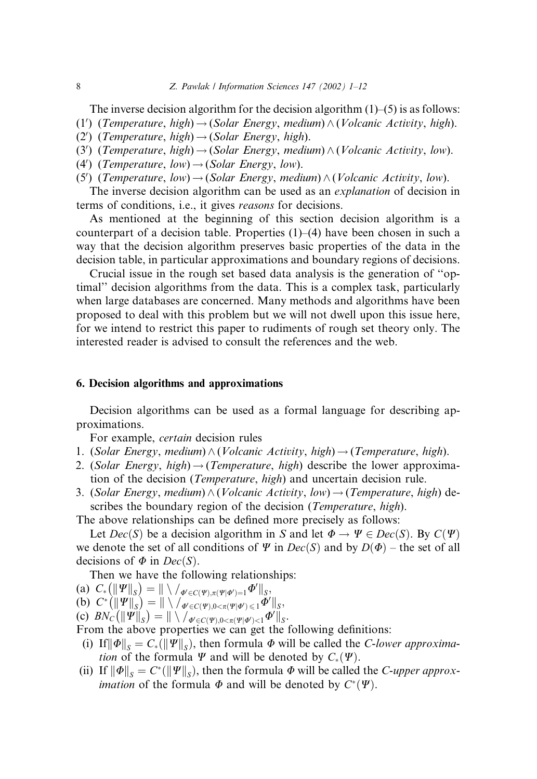The inverse decision algorithm for the decision algorithm  $(1)$ – $(5)$  is as follows:

(1') (Temperature, high)  $\rightarrow$  (Solar Energy, medium)  $\land$  (Volcanic Activity, high).

- (2') (Temperature, high)  $\rightarrow$  (Solar Energy, high).
- (3') (Temperature, high)  $\rightarrow$  (Solar Energy, medium)  $\land$  (Volcanic Activity, low).
- (4') (Temperature, low)  $\rightarrow$  (Solar Energy, low).
- (5') (Temperature, low)  $\rightarrow$  (Solar Energy, medium)  $\land$  (Volcanic Activity, low).

The inverse decision algorithm can be used as an *explanation* of decision in terms of conditions, i.e., it gives reasons for decisions.

As mentioned at the beginning of this section decision algorithm is a counterpart of a decision table. Properties  $(1)$ – $(4)$  have been chosen in such a way that the decision algorithm preserves basic properties of the data in the decision table, in particular approximations and boundary regions of decisions.

Crucial issue in the rough set based data analysis is the generation of ''optimal'' decision algorithms from the data. This is a complex task, particularly when large databases are concerned. Many methods and algorithms have been proposed to deal with this problem but we will not dwell upon this issue here, for we intend to restrict this paper to rudiments of rough set theory only. The interested reader is advised to consult the references and the web.

# 6. Decision algorithms and approximations

Decision algorithms can be used as a formal language for describing approximations.

For example, certain decision rules

- 1. (Solar Energy, medium)  $\wedge$  (Volcanic Activity, high)  $\rightarrow$  (Temperature, high).
- 2. (Solar Energy, high)  $\rightarrow$  (Temperature, high) describe the lower approximation of the decision (Temperature, high) and uncertain decision rule.
- 3. (Solar Energy, medium)  $\wedge$  (Volcanic Activity, low)  $\rightarrow$  (Temperature, high) describes the boundary region of the decision (*Temperature*, *high*).

The above relationships can be defined more precisely as follows:

Let  $Dec(S)$  be a decision algorithm in S and let  $\Phi \to \Psi \in Dec(S)$ . By  $C(\Psi)$ we denote the set of all conditions of  $\Psi$  in  $Dec(S)$  and by  $D(\Phi)$  – the set of all decisions of  $\Phi$  in  $Dec(S)$ .

Then we have the following relationships:

- (a)  $C_* (\|\Psi\|_S) = \|\setminus /_{\phi' \in C(\Psi), \pi(\Psi|\phi')=1} \Phi'\|_S,$
- (b)  $C^* (\|\Psi\|_S) = \|\vee \phi \in C(\Psi), \pi(\Psi|\phi') = 1 + \|\phi\|_S$ <br>
(b)  $C^* (\|\Psi\|_S) = \|\vee \phi \in C(\Psi), 0 < \pi(\Psi|\phi') \leq 1 + \|\phi'\|_S$
- (c)  $\mathcal{C} \times (\|T\|_{S}) = \|\nabla/\psi \in C(\Psi), 0 < \pi(\Psi|\psi') \leq 1 + \|\mathcal{S}\|_{S}$ <br>
(c)  $B N_C (\|\Psi\|_{S}) = \|\nabla/\psi \in C(\Psi), 0 < \pi(\Psi|\psi') < 1 + \|\mathcal{S}\|_{S}$
- From the above properties we can get the following definitions:
- (i) If  $\|\Phi\|_{S} = C_{\ast}(\|\Psi\|_{S})$ , then formula  $\Phi$  will be called the *C-lower approxima*tion of the formula  $\Psi$  and will be denoted by  $C_*(\Psi)$ .
- (ii) If  $\|\Phi\|_{S} = C^{*}(\|\Psi\|_{S})$ , then the formula  $\Phi$  will be called the *C-upper approximation* of the formula  $\Phi$  and will be denoted by  $C^*(\Psi)$ .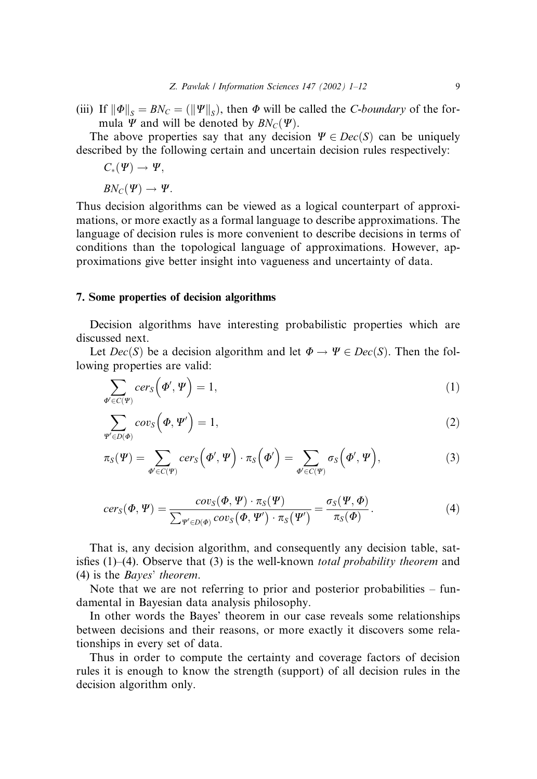(iii) If  $\|\Phi\|_{S} = BN_C = (\|\Psi\|_{S})$ , then  $\Phi$  will be called the *C-boundary* of the formula  $\Psi$  and will be denoted by  $BN_C(\Psi)$ .

The above properties say that any decision  $\Psi \in Dec(S)$  can be uniquely described by the following certain and uncertain decision rules respectively:

 $C_*(\Psi) \to \Psi$ ,

 $BN_C(\Psi) \rightarrow \Psi$ .

Thus decision algorithms can be viewed as a logical counterpart of approximations, or more exactly as a formal language to describe approximations. The language of decision rules is more convenient to describe decisions in terms of conditions than the topological language of approximations. However, approximations give better insight into vagueness and uncertainty of data.

# 7. Some properties of decision algorithms

Decision algorithms have interesting probabilistic properties which are discussed next.

Let  $Dec(S)$  be a decision algorithm and let  $\Phi \to \Psi \in Dec(S)$ . Then the following properties are valid:

$$
\sum_{\Phi' \in C(\Psi)} cer_S(\Phi', \Psi) = 1, \tag{1}
$$

$$
\sum_{\Psi' \in D(\Phi)} cov_S(\Phi, \Psi') = 1,\tag{2}
$$

$$
\pi_S(\Psi) = \sum_{\Phi' \in C(\Psi)} cer_S(\Phi', \Psi) \cdot \pi_S(\Phi') = \sum_{\Phi' \in C(\Psi)} \sigma_S(\Phi', \Psi), \tag{3}
$$

$$
cer_S(\Phi, \Psi) = \frac{cov_S(\Phi, \Psi) \cdot \pi_S(\Psi)}{\sum_{\Psi' \in D(\Phi)} cov_S(\Phi, \Psi') \cdot \pi_S(\Psi')} = \frac{\sigma_S(\Psi, \Phi)}{\pi_S(\Phi)}.
$$
(4)

That is, any decision algorithm, and consequently any decision table, satisfies  $(1)$ – $(4)$ . Observe that  $(3)$  is the well-known *total probability theorem* and (4) is the Bayes' theorem.

Note that we are not referring to prior and posterior probabilities – fundamental in Bayesian data analysis philosophy.

In other words the Bayes' theorem in our case reveals some relationships between decisions and their reasons, or more exactly it discovers some relationships in every set of data.

Thus in order to compute the certainty and coverage factors of decision rules it is enough to know the strength (support) of all decision rules in the decision algorithm only.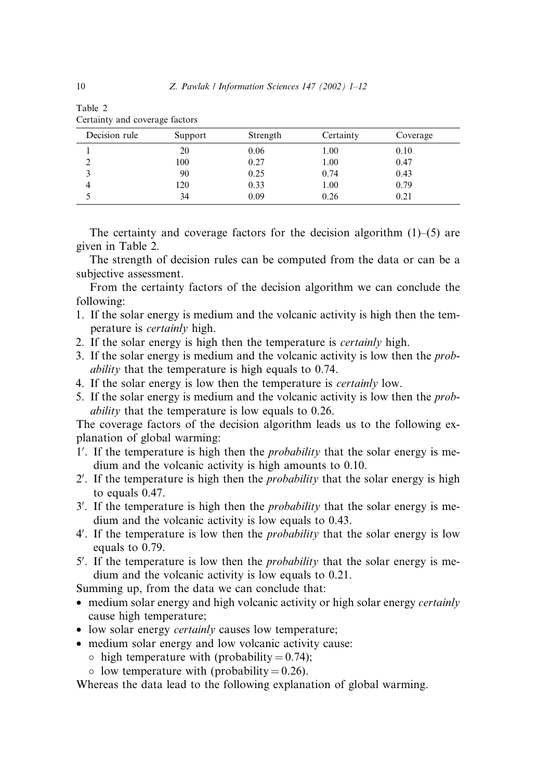| Decision rule | Support | Strength | Certainty | Coverage |
|---------------|---------|----------|-----------|----------|
|               | 20      | 0.06     | 1.00      | 0.10     |
|               | 100     | 0.27     | 1.00      | 0.47     |
|               | 90      | 0.25     | 0.74      | 0.43     |
|               | 120     | 0.33     | 1.00      | 0.79     |
|               | 34      | 0.09     | 0.26      | 0.21     |

| Table 2 |                                |
|---------|--------------------------------|
|         | Certainty and coverage factors |

The certainty and coverage factors for the decision algorithm  $(1)$ –(5) are given in Table 2.

The strength of decision rules can be computed from the data or can be a subjective assessment.

From the certainty factors of the decision algorithm we can conclude the following:

- 1. If the solar energy is medium and the volcanic activity is high then the temperature is certainly high.
- 2. If the solar energy is high then the temperature is certainly high.
- 3. If the solar energy is medium and the volcanic activity is low then the probability that the temperature is high equals to 0.74.
- 4. If the solar energy is low then the temperature is certainly low.
- 5. If the solar energy is medium and the volcanic activity is low then the probability that the temperature is low equals to 0.26.

The coverage factors of the decision algorithm leads us to the following explanation of global warming:

- 1'. If the temperature is high then the *probability* that the solar energy is medium and the volcanic activity is high amounts to 0.10.
- 2'. If the temperature is high then the *probability* that the solar energy is high to equals 0.47.
- 3'. If the temperature is high then the *probability* that the solar energy is medium and the volcanic activity is low equals to 0.43.
- 4'. If the temperature is low then the *probability* that the solar energy is low equals to 0.79.
- 5'. If the temperature is low then the *probability* that the solar energy is medium and the volcanic activity is low equals to 0.21.

Summing up, from the data we can conclude that:

- medium solar energy and high volcanic activity or high solar energy *certainly* cause high temperature;
- low solar energy *certainly* causes low temperature;
- medium solar energy and low volcanic activity cause:
	- $\circ$  high temperature with (probability = 0.74);
	- o low temperature with (probability  $= 0.26$ ).

Whereas the data lead to the following explanation of global warming.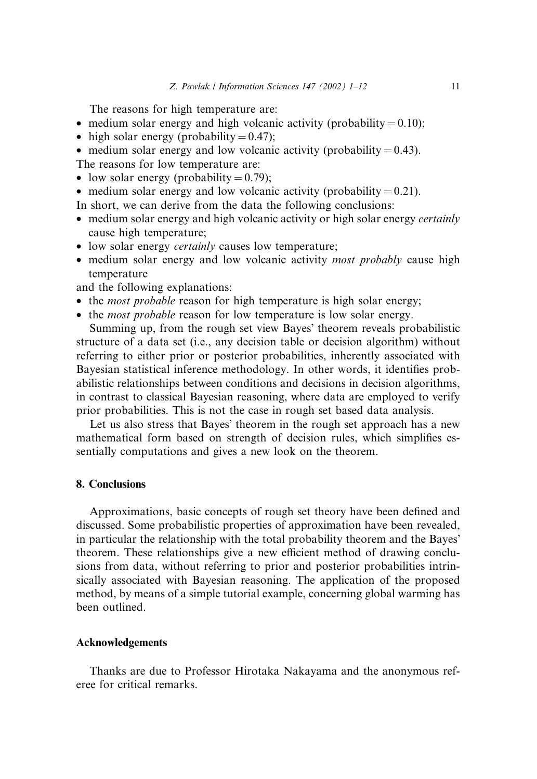The reasons for high temperature are:

- medium solar energy and high volcanic activity (probability  $= 0.10$ );
- high solar energy (probability  $= 0.47$ );
- medium solar energy and low volcanic activity (probability  $= 0.43$ ).

The reasons for low temperature are:

- low solar energy (probability  $= 0.79$ );
- medium solar energy and low volcanic activity (probability  $= 0.21$ ).
- In short, we can derive from the data the following conclusions:
- medium solar energy and high volcanic activity or high solar energy *certainly* cause high temperature;
- low solar energy *certainly* causes low temperature;
- medium solar energy and low volcanic activity *most probably* cause high temperature

and the following explanations:

- the *most probable* reason for high temperature is high solar energy;
- the *most probable* reason for low temperature is low solar energy.

Summing up, from the rough set view Bayes' theorem reveals probabilistic structure of a data set (i.e., any decision table or decision algorithm) without referring to either prior or posterior probabilities, inherently associated with Bayesian statistical inference methodology. In other words, it identifies probabilistic relationships between conditions and decisions in decision algorithms, in contrast to classical Bayesian reasoning, where data are employed to verify prior probabilities. This is not the case in rough set based data analysis.

Let us also stress that Bayes' theorem in the rough set approach has a new mathematical form based on strength of decision rules, which simplifies essentially computations and gives a new look on the theorem.

# 8. Conclusions

Approximations, basic concepts of rough set theory have been defined and discussed. Some probabilistic properties of approximation have been revealed, in particular the relationship with the total probability theorem and the Bayes theorem. These relationships give a new efficient method of drawing conclusions from data, without referring to prior and posterior probabilities intrinsically associated with Bayesian reasoning. The application of the proposed method, by means of a simple tutorial example, concerning global warming has been outlined.

# Acknowledgements

Thanks are due to Professor Hirotaka Nakayama and the anonymous referee for critical remarks.